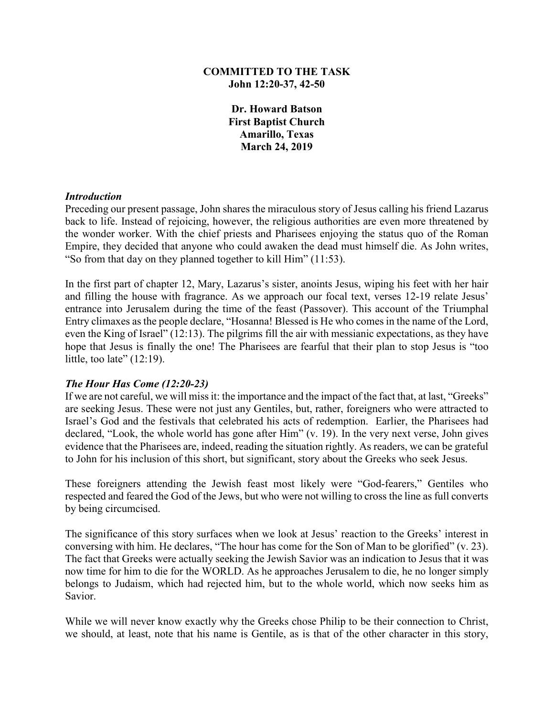### **COMMITTED TO THE TASK John 12:20-37, 42-50**

**Dr. Howard Batson First Baptist Church Amarillo, Texas March 24, 2019**

#### *Introduction*

Preceding our present passage, John shares the miraculous story of Jesus calling his friend Lazarus back to life. Instead of rejoicing, however, the religious authorities are even more threatened by the wonder worker. With the chief priests and Pharisees enjoying the status quo of the Roman Empire, they decided that anyone who could awaken the dead must himself die. As John writes, "So from that day on they planned together to kill Him" (11:53).

In the first part of chapter 12, Mary, Lazarus's sister, anoints Jesus, wiping his feet with her hair and filling the house with fragrance. As we approach our focal text, verses 12-19 relate Jesus' entrance into Jerusalem during the time of the feast (Passover). This account of the Triumphal Entry climaxes as the people declare, "Hosanna! Blessed is He who comes in the name of the Lord, even the King of Israel" (12:13). The pilgrims fill the air with messianic expectations, as they have hope that Jesus is finally the one! The Pharisees are fearful that their plan to stop Jesus is "too little, too late"  $(12:19)$ .

### *The Hour Has Come (12:20-23)*

If we are not careful, we will miss it: the importance and the impact of the fact that, at last, "Greeks" are seeking Jesus. These were not just any Gentiles, but, rather, foreigners who were attracted to Israel's God and the festivals that celebrated his acts of redemption. Earlier, the Pharisees had declared, "Look, the whole world has gone after Him" (v. 19). In the very next verse, John gives evidence that the Pharisees are, indeed, reading the situation rightly. As readers, we can be grateful to John for his inclusion of this short, but significant, story about the Greeks who seek Jesus.

These foreigners attending the Jewish feast most likely were "God-fearers," Gentiles who respected and feared the God of the Jews, but who were not willing to cross the line as full converts by being circumcised.

The significance of this story surfaces when we look at Jesus' reaction to the Greeks' interest in conversing with him. He declares, "The hour has come for the Son of Man to be glorified" (v. 23). The fact that Greeks were actually seeking the Jewish Savior was an indication to Jesus that it was now time for him to die for the WORLD. As he approaches Jerusalem to die, he no longer simply belongs to Judaism, which had rejected him, but to the whole world, which now seeks him as Savior.

While we will never know exactly why the Greeks chose Philip to be their connection to Christ, we should, at least, note that his name is Gentile, as is that of the other character in this story,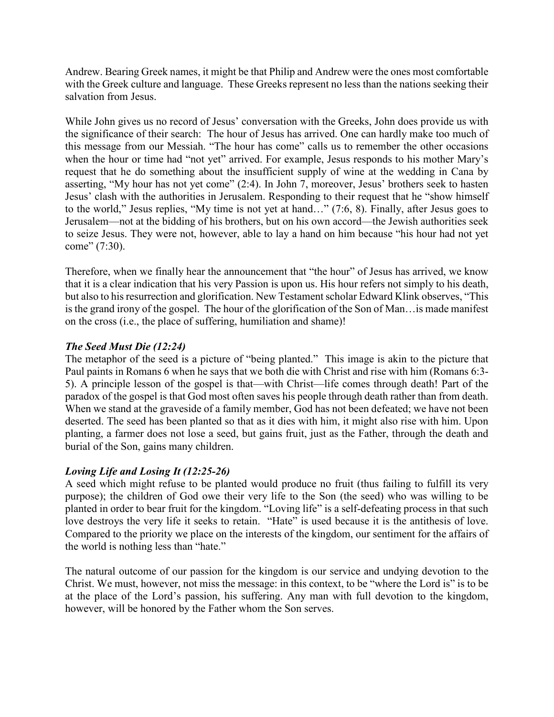Andrew. Bearing Greek names, it might be that Philip and Andrew were the ones most comfortable with the Greek culture and language. These Greeks represent no less than the nations seeking their salvation from Jesus.

While John gives us no record of Jesus' conversation with the Greeks, John does provide us with the significance of their search: The hour of Jesus has arrived. One can hardly make too much of this message from our Messiah. "The hour has come" calls us to remember the other occasions when the hour or time had "not yet" arrived. For example, Jesus responds to his mother Mary's request that he do something about the insufficient supply of wine at the wedding in Cana by asserting, "My hour has not yet come" (2:4). In John 7, moreover, Jesus' brothers seek to hasten Jesus' clash with the authorities in Jerusalem. Responding to their request that he "show himself to the world," Jesus replies, "My time is not yet at hand…" (7:6, 8). Finally, after Jesus goes to Jerusalem—not at the bidding of his brothers, but on his own accord—the Jewish authorities seek to seize Jesus. They were not, however, able to lay a hand on him because "his hour had not yet come" (7:30).

Therefore, when we finally hear the announcement that "the hour" of Jesus has arrived, we know that it is a clear indication that his very Passion is upon us. His hour refers not simply to his death, but also to his resurrection and glorification. New Testament scholar Edward Klink observes, "This is the grand irony of the gospel. The hour of the glorification of the Son of Man…is made manifest on the cross (i.e., the place of suffering, humiliation and shame)!

# *The Seed Must Die (12:24)*

The metaphor of the seed is a picture of "being planted." This image is akin to the picture that Paul paints in Romans 6 when he says that we both die with Christ and rise with him (Romans 6:3- 5). A principle lesson of the gospel is that—with Christ—life comes through death! Part of the paradox of the gospel is that God most often saves his people through death rather than from death. When we stand at the graveside of a family member, God has not been defeated; we have not been deserted. The seed has been planted so that as it dies with him, it might also rise with him. Upon planting, a farmer does not lose a seed, but gains fruit, just as the Father, through the death and burial of the Son, gains many children.

# *Loving Life and Losing It (12:25-26)*

A seed which might refuse to be planted would produce no fruit (thus failing to fulfill its very purpose); the children of God owe their very life to the Son (the seed) who was willing to be planted in order to bear fruit for the kingdom. "Loving life" is a self-defeating process in that such love destroys the very life it seeks to retain. "Hate" is used because it is the antithesis of love. Compared to the priority we place on the interests of the kingdom, our sentiment for the affairs of the world is nothing less than "hate."

The natural outcome of our passion for the kingdom is our service and undying devotion to the Christ. We must, however, not miss the message: in this context, to be "where the Lord is" is to be at the place of the Lord's passion, his suffering. Any man with full devotion to the kingdom, however, will be honored by the Father whom the Son serves.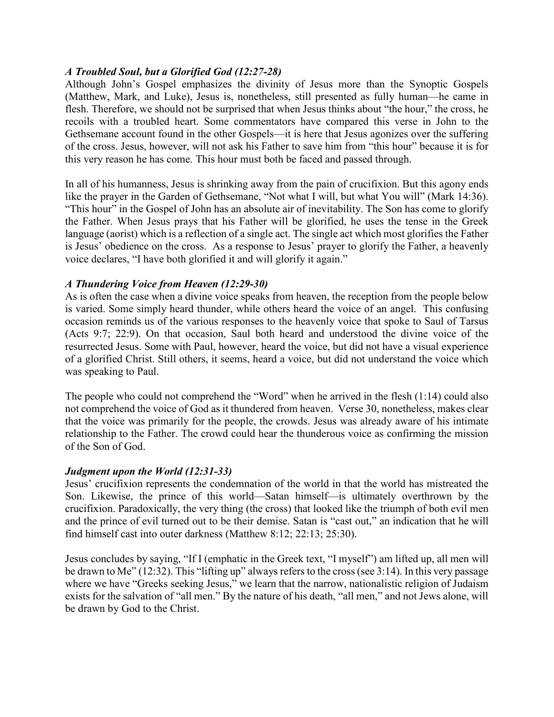## *A Troubled Soul, but a Glorified God (12:27-28)*

Although John's Gospel emphasizes the divinity of Jesus more than the Synoptic Gospels (Matthew, Mark, and Luke), Jesus is, nonetheless, still presented as fully human—he came in flesh. Therefore, we should not be surprised that when Jesus thinks about "the hour," the cross, he recoils with a troubled heart. Some commentators have compared this verse in John to the Gethsemane account found in the other Gospels—it is here that Jesus agonizes over the suffering of the cross. Jesus, however, will not ask his Father to save him from "this hour" because it is for this very reason he has come. This hour must both be faced and passed through.

In all of his humanness, Jesus is shrinking away from the pain of crucifixion. But this agony ends like the prayer in the Garden of Gethsemane, "Not what I will, but what You will" (Mark 14:36). "This hour" in the Gospel of John has an absolute air of inevitability. The Son has come to glorify the Father. When Jesus prays that his Father will be glorified, he uses the tense in the Greek language (aorist) which is a reflection of a single act. The single act which most glorifies the Father is Jesus' obedience on the cross. As a response to Jesus' prayer to glorify the Father, a heavenly voice declares, "I have both glorified it and will glorify it again."

## *A Thundering Voice from Heaven (12:29-30)*

As is often the case when a divine voice speaks from heaven, the reception from the people below is varied. Some simply heard thunder, while others heard the voice of an angel. This confusing occasion reminds us of the various responses to the heavenly voice that spoke to Saul of Tarsus (Acts 9:7; 22:9). On that occasion, Saul both heard and understood the divine voice of the resurrected Jesus. Some with Paul, however, heard the voice, but did not have a visual experience of a glorified Christ. Still others, it seems, heard a voice, but did not understand the voice which was speaking to Paul.

The people who could not comprehend the "Word" when he arrived in the flesh (1:14) could also not comprehend the voice of God as it thundered from heaven. Verse 30, nonetheless, makes clear that the voice was primarily for the people, the crowds. Jesus was already aware of his intimate relationship to the Father. The crowd could hear the thunderous voice as confirming the mission of the Son of God.

### *Judgment upon the World (12:31-33)*

Jesus' crucifixion represents the condemnation of the world in that the world has mistreated the Son. Likewise, the prince of this world—Satan himself—is ultimately overthrown by the crucifixion. Paradoxically, the very thing (the cross) that looked like the triumph of both evil men and the prince of evil turned out to be their demise. Satan is "cast out," an indication that he will find himself cast into outer darkness (Matthew 8:12; 22:13; 25:30).

Jesus concludes by saying, "If I (emphatic in the Greek text, "I myself") am lifted up, all men will be drawn to Me" (12:32). This "lifting up" always refers to the cross (see 3:14). In this very passage where we have "Greeks seeking Jesus," we learn that the narrow, nationalistic religion of Judaism exists for the salvation of "all men." By the nature of his death, "all men," and not Jews alone, will be drawn by God to the Christ.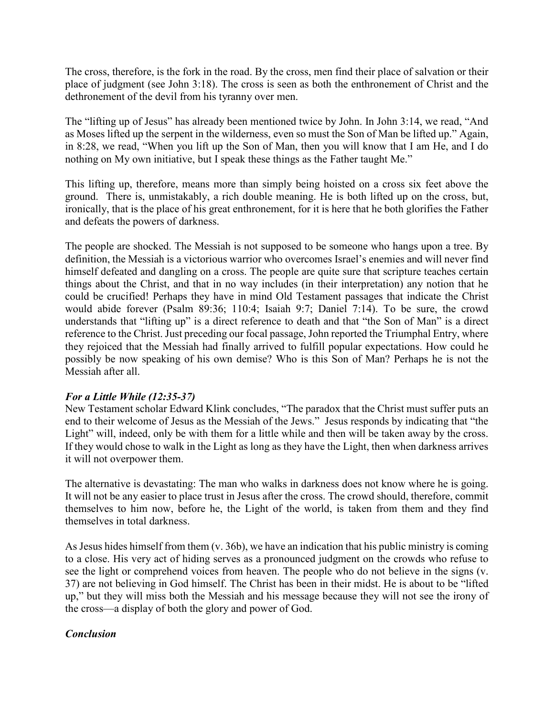The cross, therefore, is the fork in the road. By the cross, men find their place of salvation or their place of judgment (see John 3:18). The cross is seen as both the enthronement of Christ and the dethronement of the devil from his tyranny over men.

The "lifting up of Jesus" has already been mentioned twice by John. In John 3:14, we read, "And as Moses lifted up the serpent in the wilderness, even so must the Son of Man be lifted up." Again, in 8:28, we read, "When you lift up the Son of Man, then you will know that I am He, and I do nothing on My own initiative, but I speak these things as the Father taught Me."

This lifting up, therefore, means more than simply being hoisted on a cross six feet above the ground. There is, unmistakably, a rich double meaning. He is both lifted up on the cross, but, ironically, that is the place of his great enthronement, for it is here that he both glorifies the Father and defeats the powers of darkness.

The people are shocked. The Messiah is not supposed to be someone who hangs upon a tree. By definition, the Messiah is a victorious warrior who overcomes Israel's enemies and will never find himself defeated and dangling on a cross. The people are quite sure that scripture teaches certain things about the Christ, and that in no way includes (in their interpretation) any notion that he could be crucified! Perhaps they have in mind Old Testament passages that indicate the Christ would abide forever (Psalm 89:36; 110:4; Isaiah 9:7; Daniel 7:14). To be sure, the crowd understands that "lifting up" is a direct reference to death and that "the Son of Man" is a direct reference to the Christ. Just preceding our focal passage, John reported the Triumphal Entry, where they rejoiced that the Messiah had finally arrived to fulfill popular expectations. How could he possibly be now speaking of his own demise? Who is this Son of Man? Perhaps he is not the Messiah after all.

# *For a Little While (12:35-37)*

New Testament scholar Edward Klink concludes, "The paradox that the Christ must suffer puts an end to their welcome of Jesus as the Messiah of the Jews." Jesus responds by indicating that "the Light" will, indeed, only be with them for a little while and then will be taken away by the cross. If they would chose to walk in the Light as long as they have the Light, then when darkness arrives it will not overpower them.

The alternative is devastating: The man who walks in darkness does not know where he is going. It will not be any easier to place trust in Jesus after the cross. The crowd should, therefore, commit themselves to him now, before he, the Light of the world, is taken from them and they find themselves in total darkness.

As Jesus hides himself from them (v. 36b), we have an indication that his public ministry is coming to a close. His very act of hiding serves as a pronounced judgment on the crowds who refuse to see the light or comprehend voices from heaven. The people who do not believe in the signs (v. 37) are not believing in God himself. The Christ has been in their midst. He is about to be "lifted up," but they will miss both the Messiah and his message because they will not see the irony of the cross—a display of both the glory and power of God.

# *Conclusion*